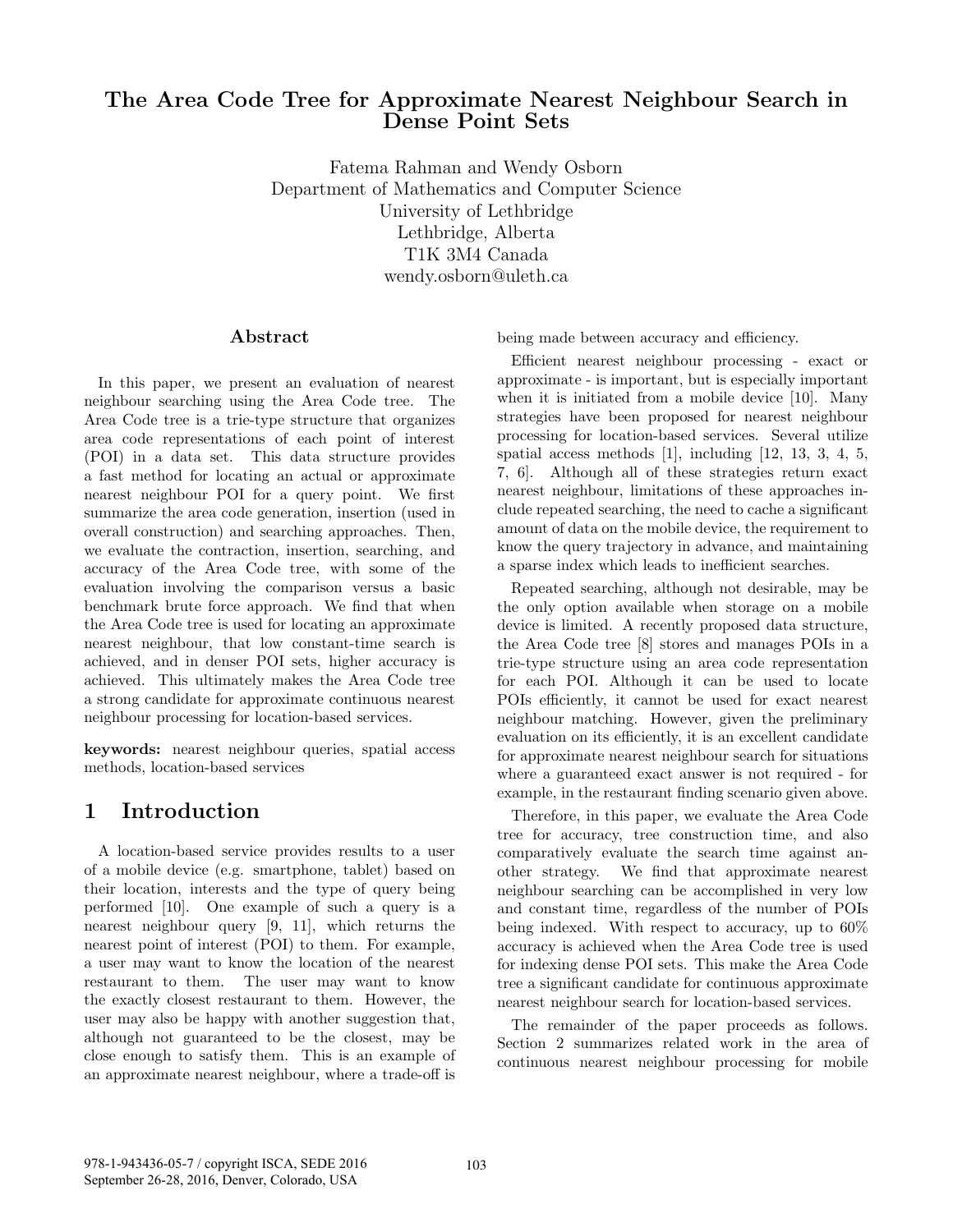### The Area Code Tree for Approximate Nearest Neighbour Search in Dense Point Sets

Fatema Rahman and Wendy Osborn Department of Mathematics and Computer Science University of Lethbridge Lethbridge, Alberta T1K 3M4 Canada wendy.osborn@uleth.ca

#### Abstract

In this paper, we present an evaluation of nearest neighbour searching using the Area Code tree. The Area Code tree is a trie-type structure that organizes area code representations of each point of interest (POI) in a data set. This data structure provides a fast method for locating an actual or approximate nearest neighbour POI for a query point. We first summarize the area code generation, insertion (used in overall construction) and searching approaches. Then, we evaluate the contraction, insertion, searching, and accuracy of the Area Code tree, with some of the evaluation involving the comparison versus a basic benchmark brute force approach. We find that when the Area Code tree is used for locating an approximate nearest neighbour, that low constant-time search is achieved, and in denser POI sets, higher accuracy is achieved. This ultimately makes the Area Code tree a strong candidate for approximate continuous nearest neighbour processing for location-based services.

keywords: nearest neighbour queries, spatial access methods, location-based services

# 1 Introduction

A location-based service provides results to a user of a mobile device (e.g. smartphone, tablet) based on their location, interests and the type of query being performed [10]. One example of such a query is a nearest neighbour query [9, 11], which returns the nearest point of interest (POI) to them. For example, a user may want to know the location of the nearest restaurant to them. The user may want to know the exactly closest restaurant to them. However, the user may also be happy with another suggestion that, although not guaranteed to be the closest, may be close enough to satisfy them. This is an example of an approximate nearest neighbour, where a trade-off is

being made between accuracy and efficiency.

Efficient nearest neighbour processing - exact or approximate - is important, but is especially important when it is initiated from a mobile device [10]. Many strategies have been proposed for nearest neighbour processing for location-based services. Several utilize spatial access methods [1], including [12, 13, 3, 4, 5, 7, 6]. Although all of these strategies return exact nearest neighbour, limitations of these approaches include repeated searching, the need to cache a significant amount of data on the mobile device, the requirement to know the query trajectory in advance, and maintaining a sparse index which leads to inefficient searches.

Repeated searching, although not desirable, may be the only option available when storage on a mobile device is limited. A recently proposed data structure, the Area Code tree [8] stores and manages POIs in a trie-type structure using an area code representation for each POI. Although it can be used to locate POIs efficiently, it cannot be used for exact nearest neighbour matching. However, given the preliminary evaluation on its efficiently, it is an excellent candidate for approximate nearest neighbour search for situations where a guaranteed exact answer is not required - for example, in the restaurant finding scenario given above.

Therefore, in this paper, we evaluate the Area Code tree for accuracy, tree construction time, and also comparatively evaluate the search time against another strategy. We find that approximate nearest neighbour searching can be accomplished in very low and constant time, regardless of the number of POIs being indexed. With respect to accuracy, up to 60% accuracy is achieved when the Area Code tree is used for indexing dense POI sets. This make the Area Code tree a significant candidate for continuous approximate nearest neighbour search for location-based services.

The remainder of the paper proceeds as follows. Section 2 summarizes related work in the area of continuous nearest neighbour processing for mobile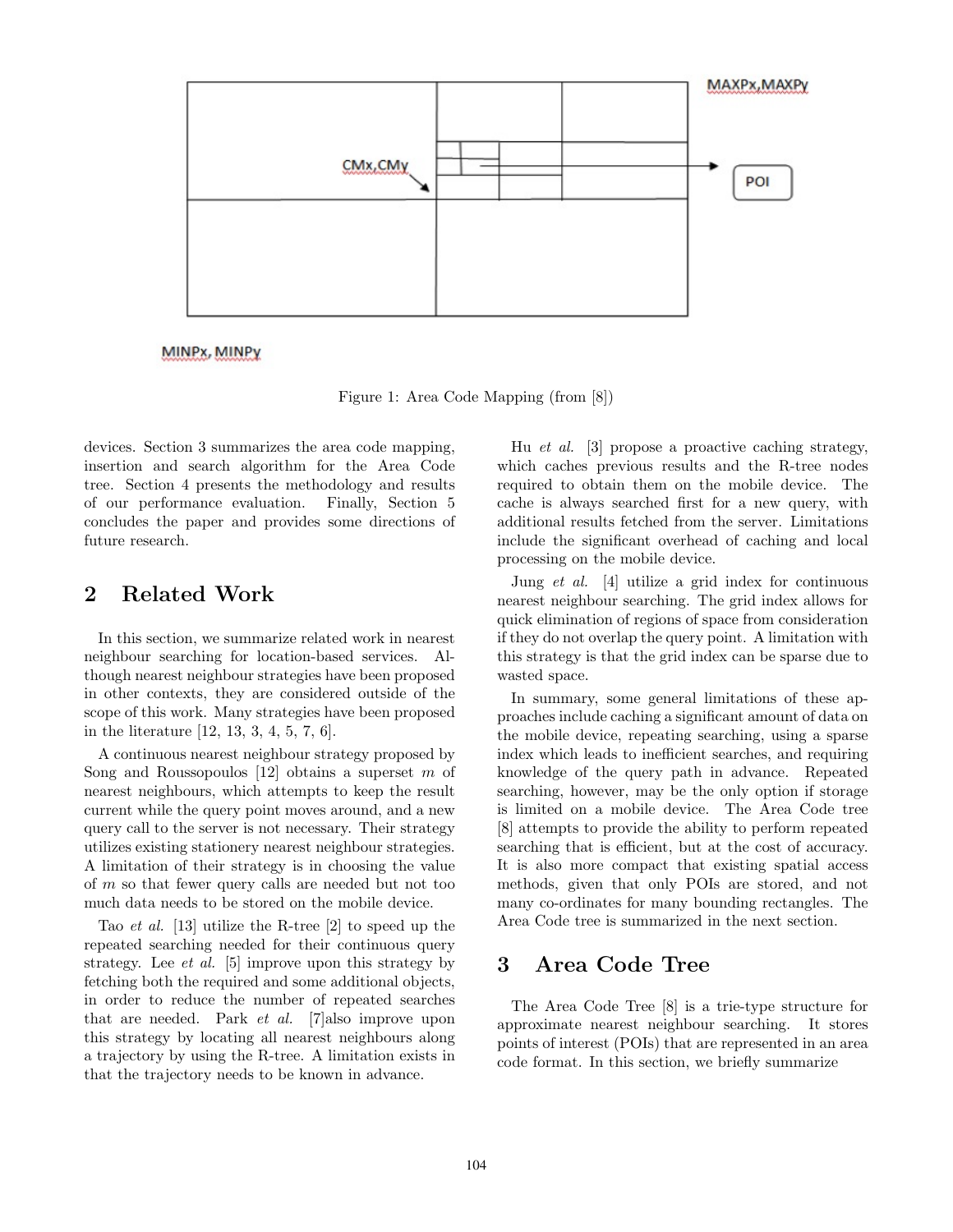

MINPx, MINPy

Figure 1: Area Code Mapping (from [8])

devices. Section 3 summarizes the area code mapping, insertion and search algorithm for the Area Code tree. Section 4 presents the methodology and results of our performance evaluation. Finally, Section 5 concludes the paper and provides some directions of future research.

# 2 Related Work

In this section, we summarize related work in nearest neighbour searching for location-based services. Although nearest neighbour strategies have been proposed in other contexts, they are considered outside of the scope of this work. Many strategies have been proposed in the literature [12, 13, 3, 4, 5, 7, 6].

A continuous nearest neighbour strategy proposed by Song and Roussopoulos  $[12]$  obtains a superset m of nearest neighbours, which attempts to keep the result current while the query point moves around, and a new query call to the server is not necessary. Their strategy utilizes existing stationery nearest neighbour strategies. A limitation of their strategy is in choosing the value of m so that fewer query calls are needed but not too much data needs to be stored on the mobile device.

Tao et al. [13] utilize the R-tree [2] to speed up the repeated searching needed for their continuous query strategy. Lee et al. [5] improve upon this strategy by fetching both the required and some additional objects, in order to reduce the number of repeated searches that are needed. Park et al. [7]also improve upon this strategy by locating all nearest neighbours along a trajectory by using the R-tree. A limitation exists in that the trajectory needs to be known in advance.

Hu et al. [3] propose a proactive caching strategy, which caches previous results and the R-tree nodes required to obtain them on the mobile device. The cache is always searched first for a new query, with additional results fetched from the server. Limitations include the significant overhead of caching and local processing on the mobile device.

Jung et al. [4] utilize a grid index for continuous nearest neighbour searching. The grid index allows for quick elimination of regions of space from consideration if they do not overlap the query point. A limitation with this strategy is that the grid index can be sparse due to wasted space.

In summary, some general limitations of these approaches include caching a significant amount of data on the mobile device, repeating searching, using a sparse index which leads to inefficient searches, and requiring knowledge of the query path in advance. Repeated searching, however, may be the only option if storage is limited on a mobile device. The Area Code tree [8] attempts to provide the ability to perform repeated searching that is efficient, but at the cost of accuracy. It is also more compact that existing spatial access methods, given that only POIs are stored, and not many co-ordinates for many bounding rectangles. The Area Code tree is summarized in the next section.

#### 3 Area Code Tree

The Area Code Tree [8] is a trie-type structure for approximate nearest neighbour searching. It stores points of interest (POIs) that are represented in an area code format. In this section, we briefly summarize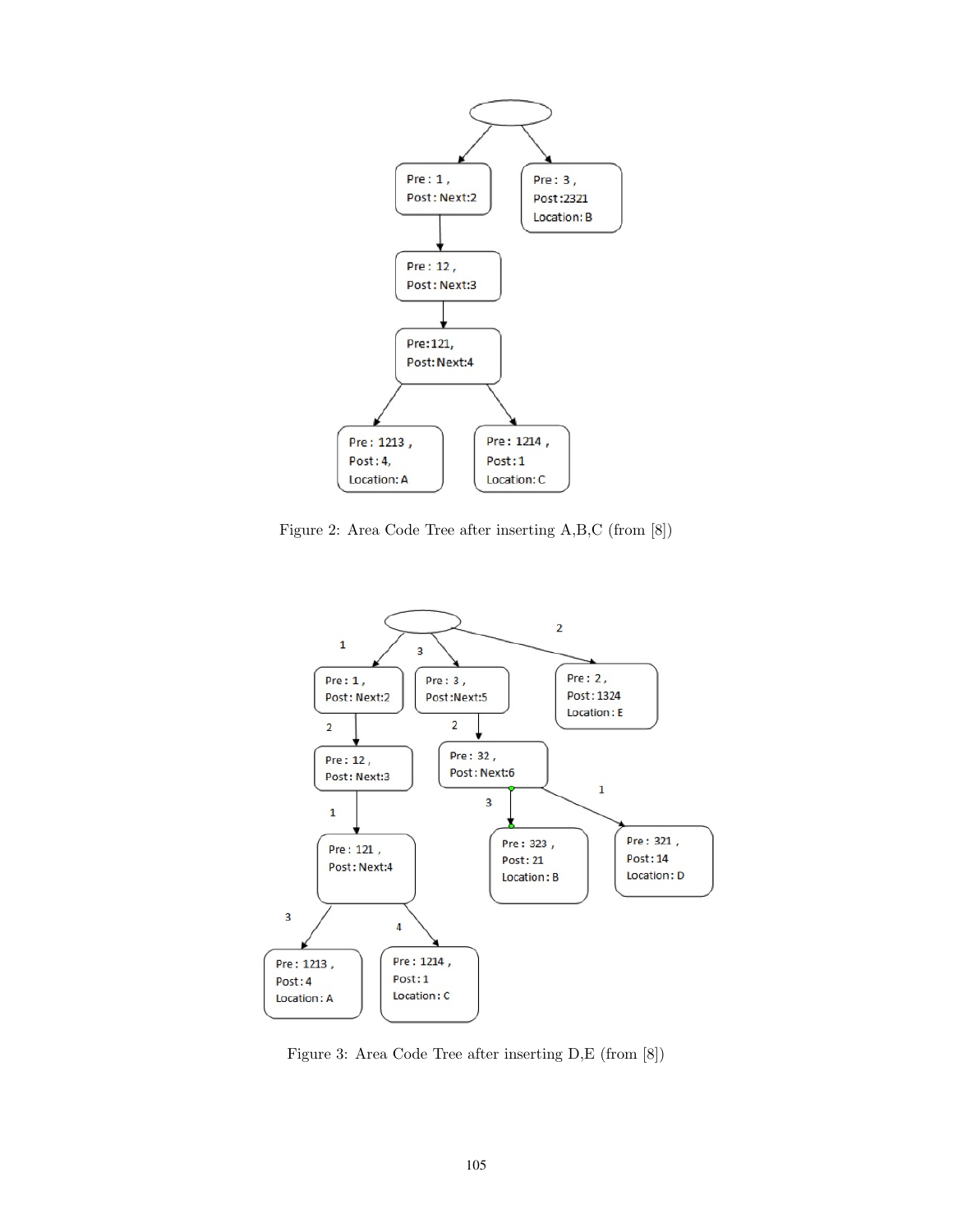

Figure 2: Area Code Tree after inserting A,B,C (from [8])



Figure 3: Area Code Tree after inserting D,E (from [8])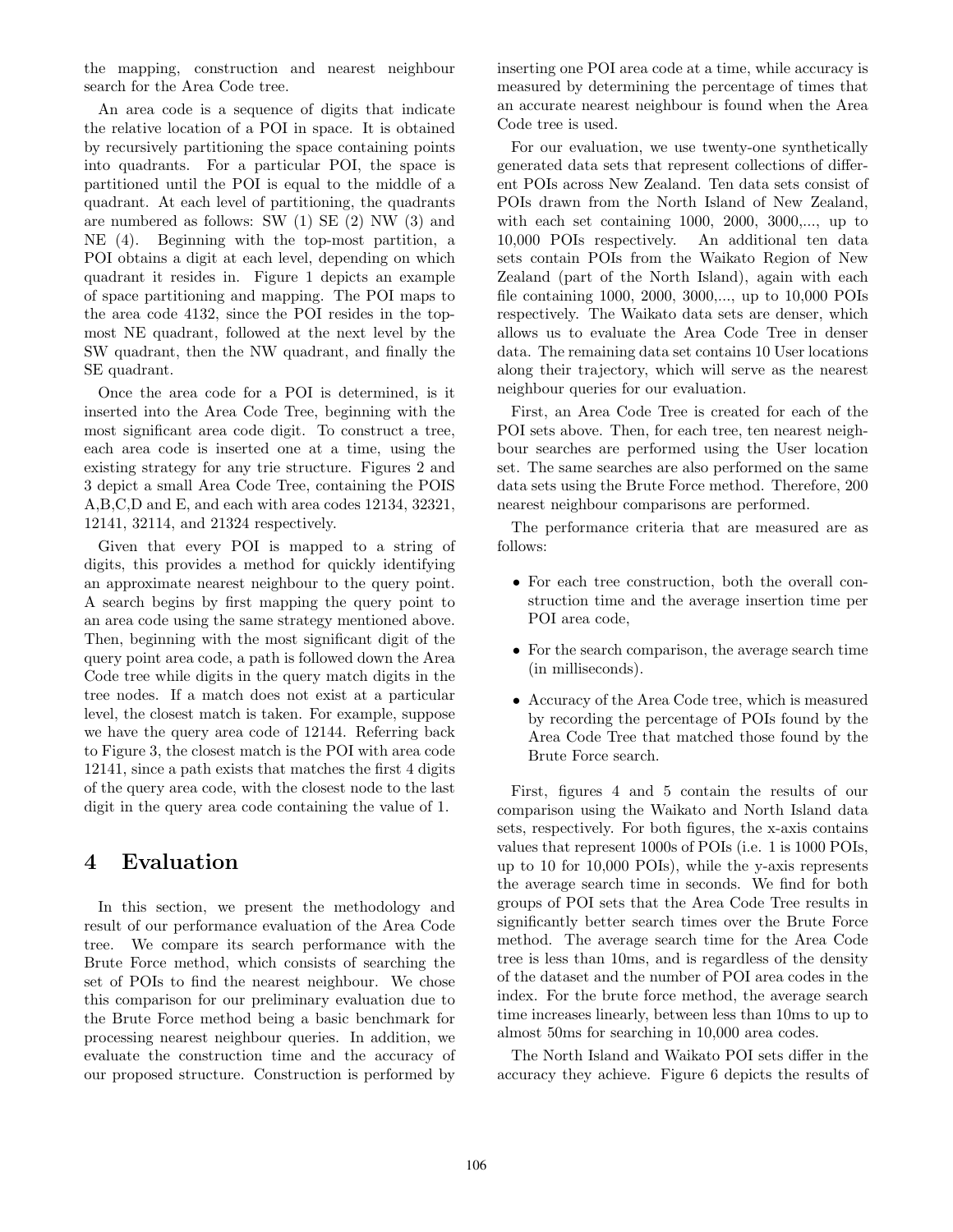the mapping, construction and nearest neighbour search for the Area Code tree.

An area code is a sequence of digits that indicate the relative location of a POI in space. It is obtained by recursively partitioning the space containing points into quadrants. For a particular POI, the space is partitioned until the POI is equal to the middle of a quadrant. At each level of partitioning, the quadrants are numbered as follows: SW (1) SE (2) NW (3) and NE (4). Beginning with the top-most partition, a POI obtains a digit at each level, depending on which quadrant it resides in. Figure 1 depicts an example of space partitioning and mapping. The POI maps to the area code 4132, since the POI resides in the topmost NE quadrant, followed at the next level by the SW quadrant, then the NW quadrant, and finally the SE quadrant.

Once the area code for a POI is determined, is it inserted into the Area Code Tree, beginning with the most significant area code digit. To construct a tree, each area code is inserted one at a time, using the existing strategy for any trie structure. Figures 2 and 3 depict a small Area Code Tree, containing the POIS A,B,C,D and E, and each with area codes 12134, 32321, 12141, 32114, and 21324 respectively.

Given that every POI is mapped to a string of digits, this provides a method for quickly identifying an approximate nearest neighbour to the query point. A search begins by first mapping the query point to an area code using the same strategy mentioned above. Then, beginning with the most significant digit of the query point area code, a path is followed down the Area Code tree while digits in the query match digits in the tree nodes. If a match does not exist at a particular level, the closest match is taken. For example, suppose we have the query area code of 12144. Referring back to Figure 3, the closest match is the POI with area code 12141, since a path exists that matches the first 4 digits of the query area code, with the closest node to the last digit in the query area code containing the value of 1.

# 4 Evaluation

In this section, we present the methodology and result of our performance evaluation of the Area Code tree. We compare its search performance with the Brute Force method, which consists of searching the set of POIs to find the nearest neighbour. We chose this comparison for our preliminary evaluation due to the Brute Force method being a basic benchmark for processing nearest neighbour queries. In addition, we evaluate the construction time and the accuracy of our proposed structure. Construction is performed by

inserting one POI area code at a time, while accuracy is measured by determining the percentage of times that an accurate nearest neighbour is found when the Area Code tree is used.

For our evaluation, we use twenty-one synthetically generated data sets that represent collections of different POIs across New Zealand. Ten data sets consist of POIs drawn from the North Island of New Zealand, with each set containing 1000, 2000, 3000,..., up to 10,000 POIs respectively. An additional ten data sets contain POIs from the Waikato Region of New Zealand (part of the North Island), again with each file containing 1000, 2000, 3000,..., up to 10,000 POIs respectively. The Waikato data sets are denser, which allows us to evaluate the Area Code Tree in denser data. The remaining data set contains 10 User locations along their trajectory, which will serve as the nearest neighbour queries for our evaluation.

First, an Area Code Tree is created for each of the POI sets above. Then, for each tree, ten nearest neighbour searches are performed using the User location set. The same searches are also performed on the same data sets using the Brute Force method. Therefore, 200 nearest neighbour comparisons are performed.

The performance criteria that are measured are as follows:

- For each tree construction, both the overall construction time and the average insertion time per POI area code,
- For the search comparison, the average search time (in milliseconds).
- Accuracy of the Area Code tree, which is measured by recording the percentage of POIs found by the Area Code Tree that matched those found by the Brute Force search.

First, figures 4 and 5 contain the results of our comparison using the Waikato and North Island data sets, respectively. For both figures, the x-axis contains values that represent 1000s of POIs (i.e. 1 is 1000 POIs, up to 10 for 10,000 POIs), while the y-axis represents the average search time in seconds. We find for both groups of POI sets that the Area Code Tree results in significantly better search times over the Brute Force method. The average search time for the Area Code tree is less than 10ms, and is regardless of the density of the dataset and the number of POI area codes in the index. For the brute force method, the average search time increases linearly, between less than 10ms to up to almost 50ms for searching in 10,000 area codes.

The North Island and Waikato POI sets differ in the accuracy they achieve. Figure 6 depicts the results of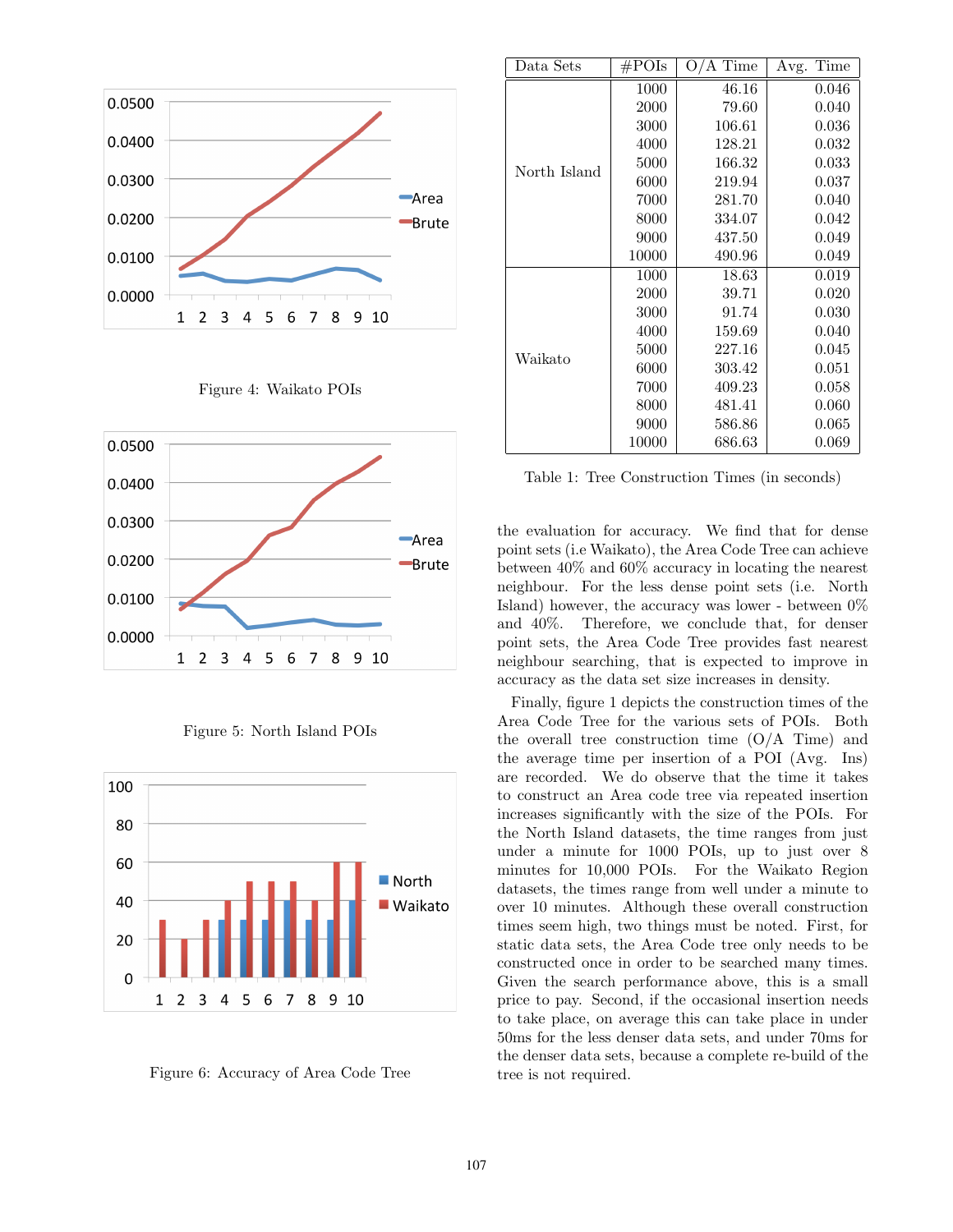









Figure 6: Accuracy of Area Code Tree

| Data Sets    | $\rm \#POIs$ | 'A Time<br>$\rm O/$ | Time<br>Avg. |
|--------------|--------------|---------------------|--------------|
| North Island | 1000         | 46.16               | 0.046        |
|              | 2000         | 79.60               | 0.040        |
|              | 3000         | 106.61              | 0.036        |
|              | 4000         | 128.21              | 0.032        |
|              | 5000         | 166.32              | 0.033        |
|              | 6000         | 219.94              | 0.037        |
|              | 7000         | 281.70              | 0.040        |
|              | 8000         | 334.07              | 0.042        |
|              | 9000         | 437.50              | 0.049        |
|              | 10000        | 490.96              | 0.049        |
| Waikato      | 1000         | 18.63               | 0.019        |
|              | 2000         | 39.71               | 0.020        |
|              | 3000         | 91.74               | 0.030        |
|              | 4000         | 159.69              | 0.040        |
|              | 5000         | 227.16              | 0.045        |
|              | 6000         | 303.42              | 0.051        |
|              | 7000         | 409.23              | 0.058        |
|              | 8000         | 481.41              | 0.060        |
|              | 9000         | 586.86              | 0.065        |
|              | 10000        | 686.63              | 0.069        |

Table 1: Tree Construction Times (in seconds)

the evaluation for accuracy. We find that for dense point sets (i.e Waikato), the Area Code Tree can achieve between 40% and 60% accuracy in locating the nearest neighbour. For the less dense point sets (i.e. North Island) however, the accuracy was lower - between  $0\%$ and 40%. Therefore, we conclude that, for denser point sets, the Area Code Tree provides fast nearest neighbour searching, that is expected to improve in accuracy as the data set size increases in density.

Finally, figure 1 depicts the construction times of the Area Code Tree for the various sets of POIs. Both the overall tree construction time  $(O/A$  Time) and the average time per insertion of a POI (Avg. Ins) are recorded. We do observe that the time it takes to construct an Area code tree via repeated insertion increases significantly with the size of the POIs. For the North Island datasets, the time ranges from just under a minute for 1000 POIs, up to just over 8 minutes for 10,000 POIs. For the Waikato Region datasets, the times range from well under a minute to over 10 minutes. Although these overall construction times seem high, two things must be noted. First, for static data sets, the Area Code tree only needs to be constructed once in order to be searched many times. Given the search performance above, this is a small price to pay. Second, if the occasional insertion needs to take place, on average this can take place in under 50ms for the less denser data sets, and under 70ms for the denser data sets, because a complete re-build of the tree is not required.